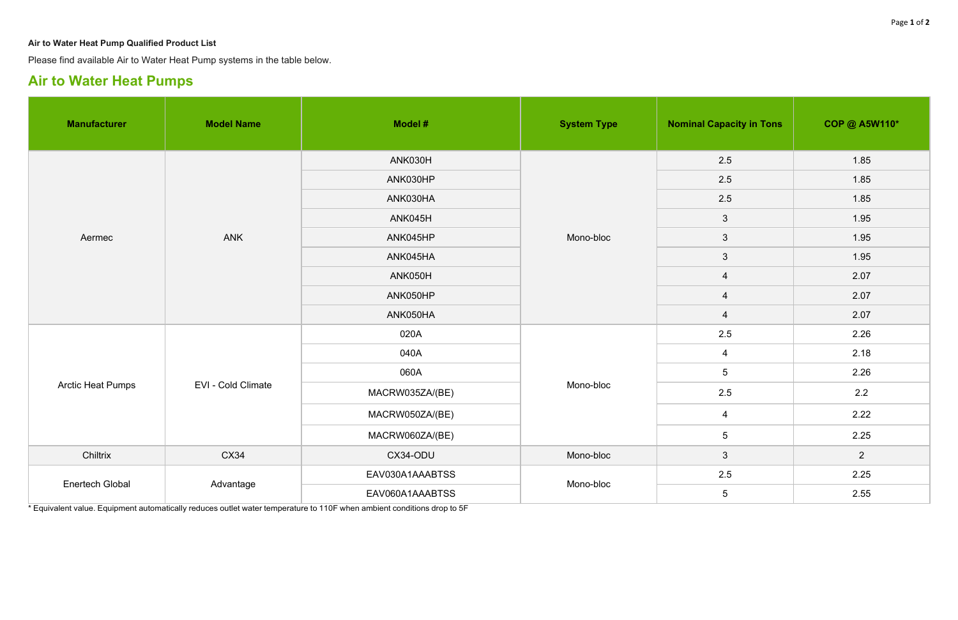## **Air to Water Heat Pump Qualified Product List**

Please find available Air to Water Heat Pump systems in the table below.

## **Air to Water Heat Pumps**

| <b>Manufacturer</b>      | <b>Model Name</b>         | Model #         | <b>System Type</b> | <b>Nominal Capacity in Tons</b> | <b>COP @ A5W110*</b> |
|--------------------------|---------------------------|-----------------|--------------------|---------------------------------|----------------------|
| Aermec                   | <b>ANK</b>                | ANK030H         | Mono-bloc          | 2.5                             | 1.85                 |
|                          |                           | ANK030HP        |                    | 2.5                             | 1.85                 |
|                          |                           | ANK030HA        |                    | 2.5                             | 1.85                 |
|                          |                           | ANK045H         |                    | $\mathbf{3}$                    | 1.95                 |
|                          |                           | ANK045HP        |                    | $\mathbf{3}$                    | 1.95                 |
|                          |                           | ANK045HA        |                    | $\mathbf{3}$                    | 1.95                 |
|                          |                           | ANK050H         |                    | $\overline{4}$                  | 2.07                 |
|                          |                           | ANK050HP        |                    | $\overline{4}$                  | 2.07                 |
|                          |                           | ANK050HA        |                    | $\overline{4}$                  | 2.07                 |
| <b>Arctic Heat Pumps</b> | <b>EVI - Cold Climate</b> | 020A            | Mono-bloc          | 2.5                             | 2.26                 |
|                          |                           | 040A            |                    | $\overline{4}$                  | 2.18                 |
|                          |                           | 060A            |                    | $5\phantom{.0}$                 | 2.26                 |
|                          |                           | MACRW035ZA/(BE) |                    | 2.5                             | 2.2                  |
|                          |                           | MACRW050ZA/(BE) |                    | $\overline{4}$                  | 2.22                 |
|                          |                           | MACRW060ZA/(BE) |                    | $5\phantom{.0}$                 | 2.25                 |
| Chiltrix                 | CX34                      | CX34-ODU        | Mono-bloc          | $\mathbf{3}$                    | $\overline{2}$       |
| <b>Enertech Global</b>   | Advantage                 | EAV030A1AAABTSS | Mono-bloc          | 2.5                             | 2.25                 |
|                          |                           | EAV060A1AAABTSS |                    | $\overline{5}$                  | 2.55                 |

\* Equivalent value. Equipment automatically reduces outlet water temperature to 110F when ambient conditions drop to 5F